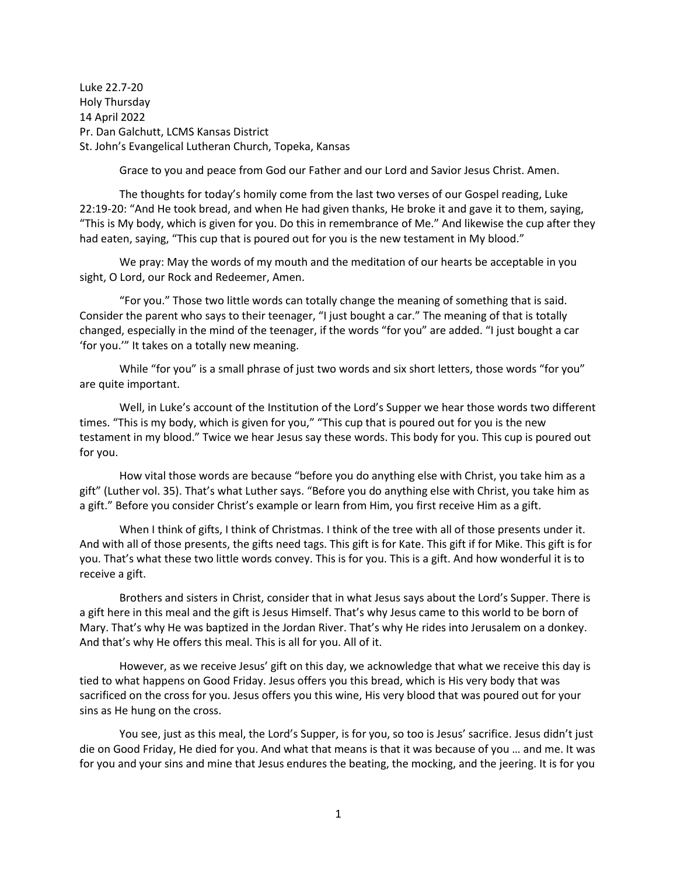Luke 22.7-20 Holy Thursday 14 April 2022 Pr. Dan Galchutt, LCMS Kansas District St. John's Evangelical Lutheran Church, Topeka, Kansas

Grace to you and peace from God our Father and our Lord and Savior Jesus Christ. Amen.

The thoughts for today's homily come from the last two verses of our Gospel reading, Luke 22:19-20: "And He took bread, and when He had given thanks, He broke it and gave it to them, saying, "This is My body, which is given for you. Do this in remembrance of Me." And likewise the cup after they had eaten, saying, "This cup that is poured out for you is the new testament in My blood."

We pray: May the words of my mouth and the meditation of our hearts be acceptable in you sight, O Lord, our Rock and Redeemer, Amen.

"For you." Those two little words can totally change the meaning of something that is said. Consider the parent who says to their teenager, "I just bought a car." The meaning of that is totally changed, especially in the mind of the teenager, if the words "for you" are added. "I just bought a car 'for you.'" It takes on a totally new meaning.

While "for you" is a small phrase of just two words and six short letters, those words "for you" are quite important.

Well, in Luke's account of the Institution of the Lord's Supper we hear those words two different times. "This is my body, which is given for you," "This cup that is poured out for you is the new testament in my blood." Twice we hear Jesus say these words. This body for you. This cup is poured out for you.

How vital those words are because "before you do anything else with Christ, you take him as a gift" (Luther vol. 35). That's what Luther says. "Before you do anything else with Christ, you take him as a gift." Before you consider Christ's example or learn from Him, you first receive Him as a gift.

When I think of gifts, I think of Christmas. I think of the tree with all of those presents under it. And with all of those presents, the gifts need tags. This gift is for Kate. This gift if for Mike. This gift is for you. That's what these two little words convey. This is for you. This is a gift. And how wonderful it is to receive a gift.

Brothers and sisters in Christ, consider that in what Jesus says about the Lord's Supper. There is a gift here in this meal and the gift is Jesus Himself. That's why Jesus came to this world to be born of Mary. That's why He was baptized in the Jordan River. That's why He rides into Jerusalem on a donkey. And that's why He offers this meal. This is all for you. All of it.

However, as we receive Jesus' gift on this day, we acknowledge that what we receive this day is tied to what happens on Good Friday. Jesus offers you this bread, which is His very body that was sacrificed on the cross for you. Jesus offers you this wine, His very blood that was poured out for your sins as He hung on the cross.

You see, just as this meal, the Lord's Supper, is for you, so too is Jesus' sacrifice. Jesus didn't just die on Good Friday, He died for you. And what that means is that it was because of you … and me. It was for you and your sins and mine that Jesus endures the beating, the mocking, and the jeering. It is for you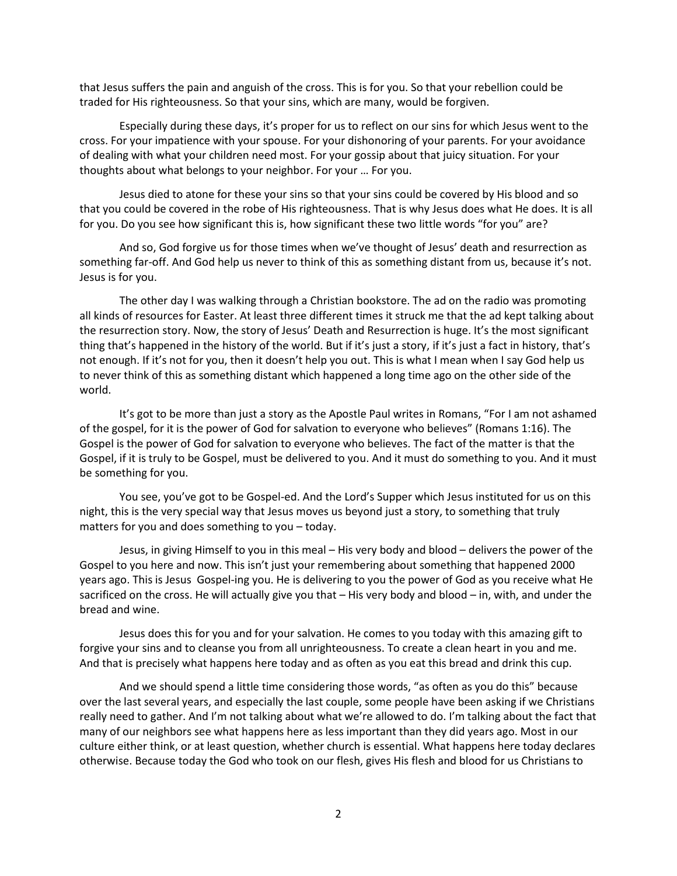that Jesus suffers the pain and anguish of the cross. This is for you. So that your rebellion could be traded for His righteousness. So that your sins, which are many, would be forgiven.

Especially during these days, it's proper for us to reflect on our sins for which Jesus went to the cross. For your impatience with your spouse. For your dishonoring of your parents. For your avoidance of dealing with what your children need most. For your gossip about that juicy situation. For your thoughts about what belongs to your neighbor. For your … For you.

Jesus died to atone for these your sins so that your sins could be covered by His blood and so that you could be covered in the robe of His righteousness. That is why Jesus does what He does. It is all for you. Do you see how significant this is, how significant these two little words "for you" are?

And so, God forgive us for those times when we've thought of Jesus' death and resurrection as something far-off. And God help us never to think of this as something distant from us, because it's not. Jesus is for you.

The other day I was walking through a Christian bookstore. The ad on the radio was promoting all kinds of resources for Easter. At least three different times it struck me that the ad kept talking about the resurrection story. Now, the story of Jesus' Death and Resurrection is huge. It's the most significant thing that's happened in the history of the world. But if it's just a story, if it's just a fact in history, that's not enough. If it's not for you, then it doesn't help you out. This is what I mean when I say God help us to never think of this as something distant which happened a long time ago on the other side of the world.

It's got to be more than just a story as the Apostle Paul writes in Romans, "For I am not ashamed of the gospel, for it is the power of God for salvation to everyone who believes" (Romans 1:16). The Gospel is the power of God for salvation to everyone who believes. The fact of the matter is that the Gospel, if it is truly to be Gospel, must be delivered to you. And it must do something to you. And it must be something for you.

You see, you've got to be Gospel-ed. And the Lord's Supper which Jesus instituted for us on this night, this is the very special way that Jesus moves us beyond just a story, to something that truly matters for you and does something to you – today.

Jesus, in giving Himself to you in this meal – His very body and blood – delivers the power of the Gospel to you here and now. This isn't just your remembering about something that happened 2000 years ago. This is Jesus Gospel-ing you. He is delivering to you the power of God as you receive what He sacrificed on the cross. He will actually give you that – His very body and blood – in, with, and under the bread and wine.

Jesus does this for you and for your salvation. He comes to you today with this amazing gift to forgive your sins and to cleanse you from all unrighteousness. To create a clean heart in you and me. And that is precisely what happens here today and as often as you eat this bread and drink this cup.

And we should spend a little time considering those words, "as often as you do this" because over the last several years, and especially the last couple, some people have been asking if we Christians really need to gather. And I'm not talking about what we're allowed to do. I'm talking about the fact that many of our neighbors see what happens here as less important than they did years ago. Most in our culture either think, or at least question, whether church is essential. What happens here today declares otherwise. Because today the God who took on our flesh, gives His flesh and blood for us Christians to